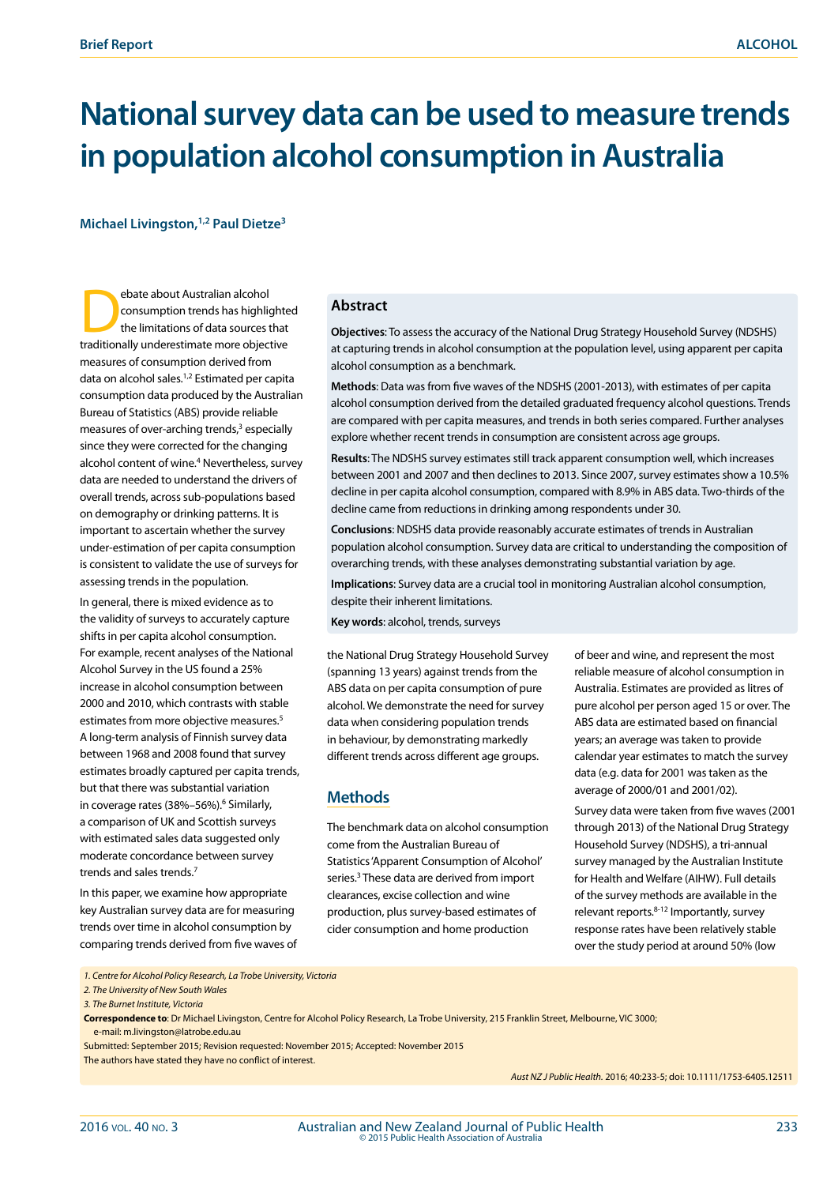# **National survey data can be used to measure trends in population alcohol consumption in Australia**

**Michael Livingston,1,2 Paul Dietze3**

Expedite about Australian alcohol<br>consumption trends has highlighted limitations of data sources the<br>traditionally undergratinate more objects consumption trends has highlighted the limitations of data sources that traditionally underestimate more objective measures of consumption derived from data on alcohol sales.1,2 Estimated per capita consumption data produced by the Australian Bureau of Statistics (ABS) provide reliable measures of over-arching trends,<sup>3</sup> especially since they were corrected for the changing alcohol content of wine.<sup>4</sup> Nevertheless, survey data are needed to understand the drivers of overall trends, across sub-populations based on demography or drinking patterns. It is important to ascertain whether the survey under-estimation of per capita consumption is consistent to validate the use of surveys for assessing trends in the population.

In general, there is mixed evidence as to the validity of surveys to accurately capture shifts in per capita alcohol consumption. For example, recent analyses of the National Alcohol Survey in the US found a 25% increase in alcohol consumption between 2000 and 2010, which contrasts with stable estimates from more objective measures.<sup>5</sup> A long-term analysis of Finnish survey data between 1968 and 2008 found that survey estimates broadly captured per capita trends, but that there was substantial variation in coverage rates (38%–56%).<sup>6</sup> Similarly, a comparison of UK and Scottish surveys with estimated sales data suggested only moderate concordance between survey trends and sales trends.7

In this paper, we examine how appropriate key Australian survey data are for measuring trends over time in alcohol consumption by comparing trends derived from five waves of

#### **Abstract**

**Objectives**: To assess the accuracy of the National Drug Strategy Household Survey (NDSHS) at capturing trends in alcohol consumption at the population level, using apparent per capita alcohol consumption as a benchmark.

**Methods**: Data was from five waves of the NDSHS (2001-2013), with estimates of per capita alcohol consumption derived from the detailed graduated frequency alcohol questions. Trends are compared with per capita measures, and trends in both series compared. Further analyses explore whether recent trends in consumption are consistent across age groups.

**Results**: The NDSHS survey estimates still track apparent consumption well, which increases between 2001 and 2007 and then declines to 2013. Since 2007, survey estimates show a 10.5% decline in per capita alcohol consumption, compared with 8.9% in ABS data. Two-thirds of the decline came from reductions in drinking among respondents under 30.

**Conclusions**: NDSHS data provide reasonably accurate estimates of trends in Australian population alcohol consumption. Survey data are critical to understanding the composition of overarching trends, with these analyses demonstrating substantial variation by age.

**Implications**: Survey data are a crucial tool in monitoring Australian alcohol consumption, despite their inherent limitations.

**Key words**: alcohol, trends, surveys

the National Drug Strategy Household Survey (spanning 13 years) against trends from the ABS data on per capita consumption of pure alcohol. We demonstrate the need for survey data when considering population trends in behaviour, by demonstrating markedly different trends across different age groups.

### **Methods**

The benchmark data on alcohol consumption come from the Australian Bureau of Statistics 'Apparent Consumption of Alcohol' series.<sup>3</sup> These data are derived from import clearances, excise collection and wine production, plus survey-based estimates of cider consumption and home production

of beer and wine, and represent the most reliable measure of alcohol consumption in Australia. Estimates are provided as litres of pure alcohol per person aged 15 or over. The ABS data are estimated based on financial years; an average was taken to provide calendar year estimates to match the survey data (e.g. data for 2001 was taken as the average of 2000/01 and 2001/02).

Survey data were taken from five waves (2001 through 2013) of the National Drug Strategy Household Survey (NDSHS), a tri-annual survey managed by the Australian Institute for Health and Welfare (AIHW). Full details of the survey methods are available in the relevant reports.8-12 Importantly, survey response rates have been relatively stable over the study period at around 50% (low

*1. Centre for Alcohol Policy Research, La Trobe University, Victoria*

*2. The University of New South Wales* 

**Correspondence to**: Dr Michael Livingston, Centre for Alcohol Policy Research, La Trobe University, 215 Franklin Street, Melbourne, VIC 3000; e-mail: m.livingston@latrobe.edu.au

Submitted: September 2015; Revision requested: November 2015; Accepted: November 2015

The authors have stated they have no conflict of interest.

*Aust NZ J Public Health.* 2016; 40:233-5; doi: 10.1111/1753-6405.12511

*<sup>3.</sup> The Burnet Institute, Victoria*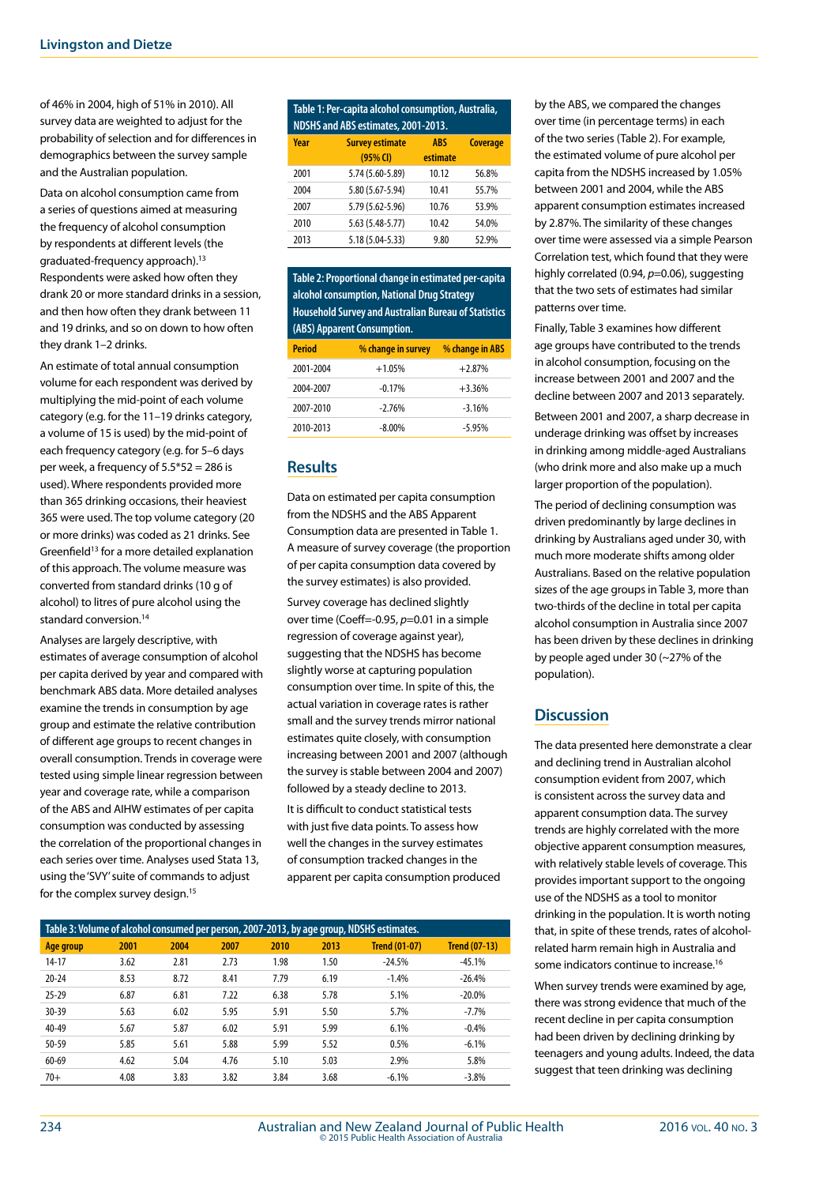of 46% in 2004, high of 51% in 2010). All survey data are weighted to adjust for the probability of selection and for differences in demographics between the survey sample and the Australian population.

Data on alcohol consumption came from a series of questions aimed at measuring the frequency of alcohol consumption by respondents at different levels (the graduated-frequency approach).13 Respondents were asked how often they drank 20 or more standard drinks in a session, and then how often they drank between 11 and 19 drinks, and so on down to how often they drank 1–2 drinks.

An estimate of total annual consumption volume for each respondent was derived by multiplying the mid-point of each volume category (e.g. for the 11–19 drinks category, a volume of 15 is used) by the mid-point of each frequency category (e.g. for 5–6 days per week, a frequency of 5.5\*52 = 286 is used). Where respondents provided more than 365 drinking occasions, their heaviest 365 were used. The top volume category (20 or more drinks) was coded as 21 drinks. See Greenfield<sup>13</sup> for a more detailed explanation of this approach. The volume measure was converted from standard drinks (10 g of alcohol) to litres of pure alcohol using the standard conversion.<sup>14</sup>

Analyses are largely descriptive, with estimates of average consumption of alcohol per capita derived by year and compared with benchmark ABS data. More detailed analyses examine the trends in consumption by age group and estimate the relative contribution of different age groups to recent changes in overall consumption. Trends in coverage were tested using simple linear regression between year and coverage rate, while a comparison of the ABS and AIHW estimates of per capita consumption was conducted by assessing the correlation of the proportional changes in each series over time. Analyses used Stata 13, using the 'SVY' suite of commands to adjust for the complex survey design.<sup>15</sup>

#### **Table 1: Per-capita alcohol consumption, Australia, NDSHS and ABS estimates, 2001-2013. Year Survey estimate (95% CI) ABS estimate Coverage**  $2001$   $5.74$  ( $5.60$   $5.89$ )  $10.12$   $56.89$

| ZUUT | (95.5-00.5) 2.74  | <b>IU.IZ</b> | <b>20.0%</b> |
|------|-------------------|--------------|--------------|
| 2004 | 5.80 (5.67-5.94)  | 10.41        | 55.7%        |
| 2007 | 5.79 (5.62-5.96)  | 10.76        | 53.9%        |
| 2010 | $5.63(5.48-5.77)$ | 10.42        | 54.0%        |
| 2013 | 5.18 (5.04-5.33)  | 9.80         | 52.9%        |

**Table 2: Proportional change in estimated per-capita alcohol consumption, National Drug Strategy Household Survey and Australian Bureau of Statistics (ABS) Apparent Consumption.** 

| <b>Period</b> | % change in survey | % change in ABS |  |  |
|---------------|--------------------|-----------------|--|--|
| 2001-2004     | $+1.05%$           | $+2.87%$        |  |  |
| 2004-2007     | $-0.17%$           | $+3.36%$        |  |  |
| 2007-2010     | $-2.76%$           | $-3.16%$        |  |  |
| 2010-2013     | $-8.00\%$          | $-5.95%$        |  |  |

#### **Results**

Data on estimated per capita consumption from the NDSHS and the ABS Apparent Consumption data are presented in Table 1. A measure of survey coverage (the proportion of per capita consumption data covered by the survey estimates) is also provided. Survey coverage has declined slightly over time (Coeff=-0.95, *p*=0.01 in a simple regression of coverage against year), suggesting that the NDSHS has become slightly worse at capturing population consumption over time. In spite of this, the actual variation in coverage rates is rather small and the survey trends mirror national estimates quite closely, with consumption increasing between 2001 and 2007 (although the survey is stable between 2004 and 2007) followed by a steady decline to 2013.

It is difficult to conduct statistical tests with just five data points. To assess how well the changes in the survey estimates of consumption tracked changes in the apparent per capita consumption produced

| Table 3: Volume of alcohol consumed per person, 2007-2013, by age group, NDSHS estimates. |      |      |      |      |      |                      |                      |  |
|-------------------------------------------------------------------------------------------|------|------|------|------|------|----------------------|----------------------|--|
| Age group                                                                                 | 2001 | 2004 | 2007 | 2010 | 2013 | <b>Trend (01-07)</b> | <b>Trend (07-13)</b> |  |
| 14-17                                                                                     | 3.62 | 2.81 | 2.73 | 1.98 | 1.50 | $-24.5%$             | $-45.1%$             |  |
| $20 - 24$                                                                                 | 8.53 | 8.72 | 8.41 | 7.79 | 6.19 | $-1.4%$              | $-26.4%$             |  |
| $25 - 29$                                                                                 | 6.87 | 6.81 | 7.22 | 6.38 | 5.78 | 5.1%                 | $-20.0\%$            |  |
| $30 - 39$                                                                                 | 5.63 | 6.02 | 5.95 | 5.91 | 5.50 | 5.7%                 | $-7.7%$              |  |
| $40 - 49$                                                                                 | 5.67 | 5.87 | 6.02 | 5.91 | 5.99 | 6.1%                 | $-0.4%$              |  |
| 50-59                                                                                     | 5.85 | 5.61 | 5.88 | 5.99 | 5.52 | 0.5%                 | $-6.1%$              |  |
| 60-69                                                                                     | 4.62 | 5.04 | 4.76 | 5.10 | 5.03 | 2.9%                 | 5.8%                 |  |
| $70+$                                                                                     | 4.08 | 3.83 | 3.82 | 3.84 | 3.68 | $-6.1%$              | $-3.8%$              |  |

by the ABS, we compared the changes over time (in percentage terms) in each of the two series (Table 2). For example, the estimated volume of pure alcohol per capita from the NDSHS increased by 1.05% between 2001 and 2004, while the ABS apparent consumption estimates increased by 2.87%. The similarity of these changes over time were assessed via a simple Pearson Correlation test, which found that they were highly correlated (0.94, *p*=0.06), suggesting that the two sets of estimates had similar patterns over time.

Finally, Table 3 examines how different age groups have contributed to the trends in alcohol consumption, focusing on the increase between 2001 and 2007 and the decline between 2007 and 2013 separately.

Between 2001 and 2007, a sharp decrease in underage drinking was offset by increases in drinking among middle-aged Australians (who drink more and also make up a much larger proportion of the population).

The period of declining consumption was driven predominantly by large declines in drinking by Australians aged under 30, with much more moderate shifts among older Australians. Based on the relative population sizes of the age groups in Table 3, more than two-thirds of the decline in total per capita alcohol consumption in Australia since 2007 has been driven by these declines in drinking by people aged under 30 (~27% of the population).

### **Discussion**

The data presented here demonstrate a clear and declining trend in Australian alcohol consumption evident from 2007, which is consistent across the survey data and apparent consumption data. The survey trends are highly correlated with the more objective apparent consumption measures, with relatively stable levels of coverage. This provides important support to the ongoing use of the NDSHS as a tool to monitor drinking in the population. It is worth noting that, in spite of these trends, rates of alcoholrelated harm remain high in Australia and some indicators continue to increase.16

When survey trends were examined by age, there was strong evidence that much of the recent decline in per capita consumption had been driven by declining drinking by teenagers and young adults. Indeed, the data suggest that teen drinking was declining